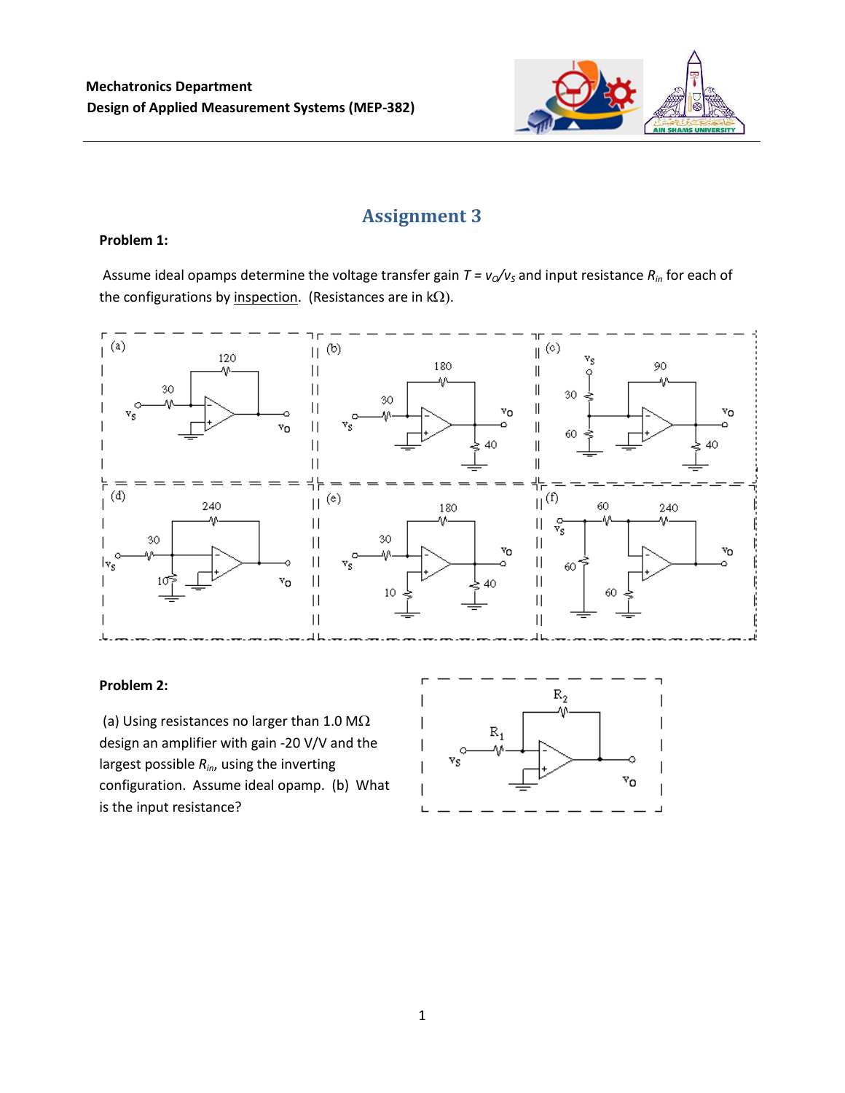

# **Assignment 3**

## **Problem 1:**

Assume ideal opamps determine the voltage transfer gain  $T = v_0/v_s$  and input resistance  $R_{in}$  for each of the configurations by inspection. (Resistances are in  $k\Omega$ ).



## **Problem 2:**

(a) Using resistances no larger than 1.0 M $\Omega$ design an amplifier with gain -20 V/V and the largest possible *Rin*, using the inverting configuration. Assume ideal opamp. (b) What is the input resistance?

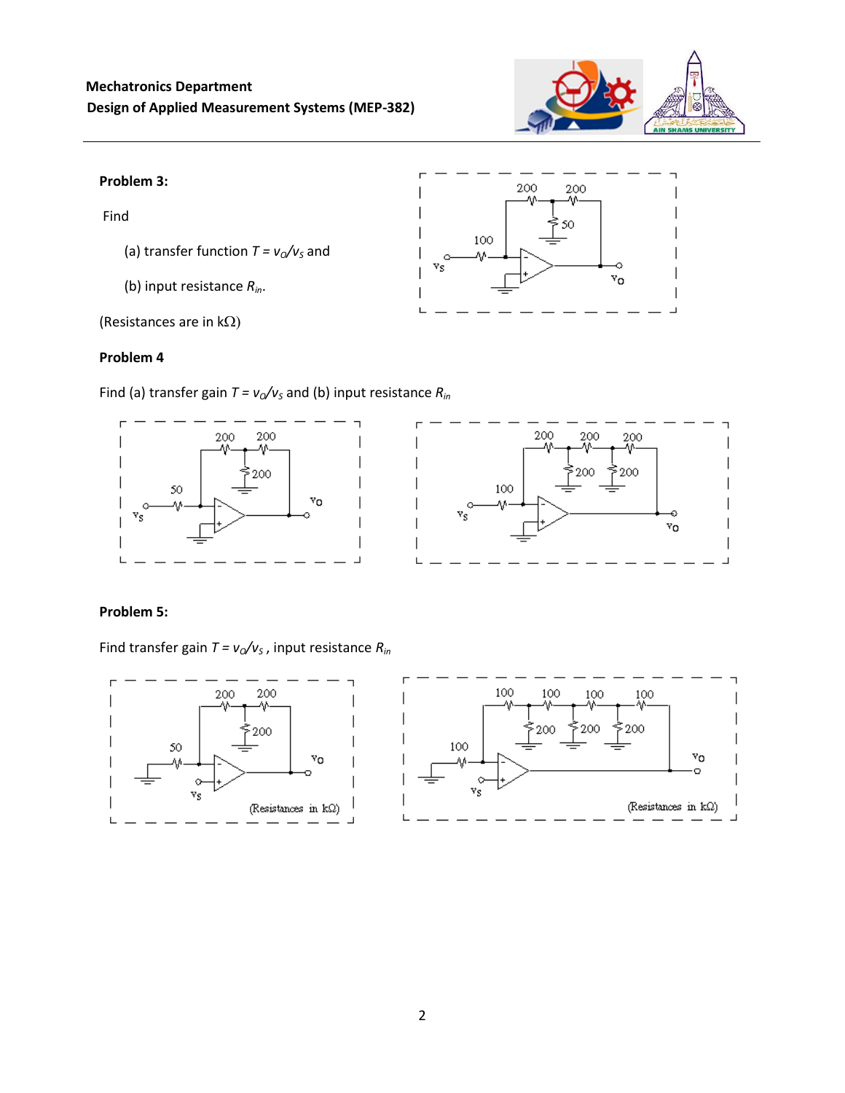

٧o

200

100

ζç

200 Λ٨ 50

#### **Problem 3:**

Find

- (a) transfer function  $T = v_0/v_s$  and
- (b) input resistance *Rin*.

(Resistances are in  $k\Omega$ )

#### **Problem 4**

Find (a) transfer gain  $T = v_0/v_s$  and (b) input resistance  $R_{in}$ 



# **Problem 5:**

Find transfer gain  $T = v_0/v_s$ , input resistance  $R_{in}$